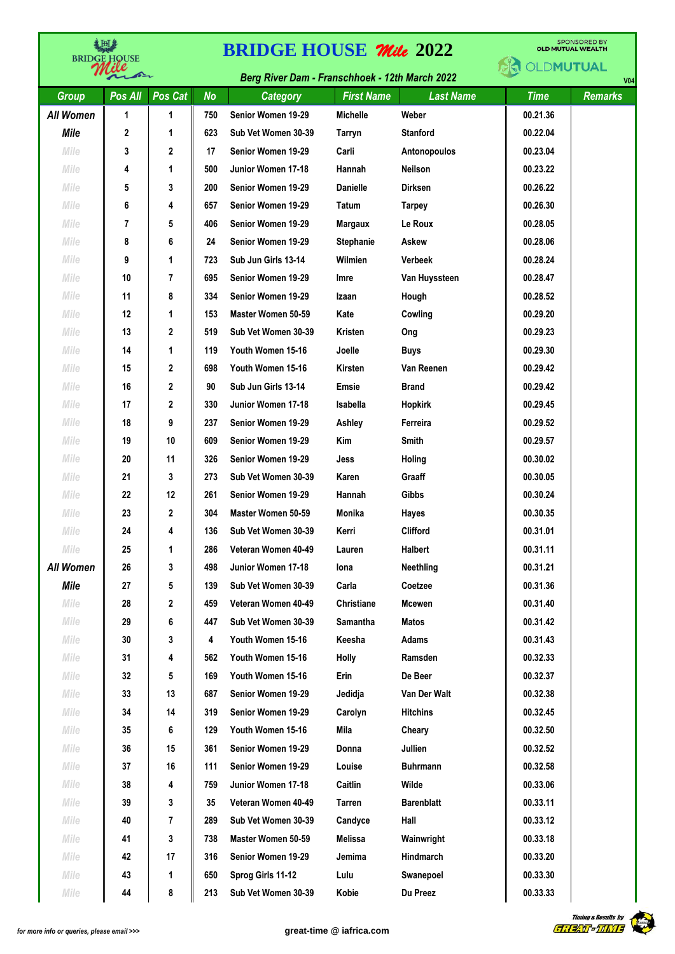| 当回き<br><b>BRIDGE HQUSE</b> |              |              | <b>SPONSORED BY</b><br><b>BRIDGE HOUSE Mile 2022</b><br><b>OLD MUTUAL WEALTH</b> |                                                |                   |                   |             |                |  |
|----------------------------|--------------|--------------|----------------------------------------------------------------------------------|------------------------------------------------|-------------------|-------------------|-------------|----------------|--|
|                            | $\sqrt{2}$   |              |                                                                                  | Berg River Dam - Franschhoek - 12th March 2022 |                   |                   | OLDMUTUAL   | V <sub>0</sub> |  |
| <b>Group</b>               | Pos All      | Pos Cat      | <b>No</b>                                                                        | <b>Category</b>                                | <b>First Name</b> | <b>Last Name</b>  | <b>Time</b> | <b>Remarks</b> |  |
| <b>All Women</b>           | 1            | 1            | 750                                                                              | Senior Women 19-29                             | <b>Michelle</b>   | Weber             | 00.21.36    |                |  |
| <b>Mile</b>                | $\mathbf{2}$ | 1            | 623                                                                              | Sub Vet Women 30-39                            | Tarryn            | <b>Stanford</b>   | 00.22.04    |                |  |
| Mile                       | 3            | $\mathbf{2}$ | 17                                                                               | Senior Women 19-29                             | Carli             | Antonopoulos      | 00.23.04    |                |  |
| Mile                       | 4            | 1            | 500                                                                              | Junior Women 17-18                             | Hannah            | <b>Neilson</b>    | 00.23.22    |                |  |
| Mile                       | 5            | 3            | 200                                                                              | Senior Women 19-29                             | <b>Danielle</b>   | <b>Dirksen</b>    | 00.26.22    |                |  |
| Mile                       | 6            | 4            | 657                                                                              | Senior Women 19-29                             | <b>Tatum</b>      | <b>Tarpey</b>     | 00.26.30    |                |  |
| Mile                       | 7            | 5            | 406                                                                              | Senior Women 19-29                             | <b>Margaux</b>    | Le Roux           | 00.28.05    |                |  |
| Mile                       | 8            | 6            | 24                                                                               | Senior Women 19-29                             | <b>Stephanie</b>  | Askew             | 00.28.06    |                |  |
| Mile                       | 9            | 1            | 723                                                                              | Sub Jun Girls 13-14                            | Wilmien           | <b>Verbeek</b>    | 00.28.24    |                |  |
| Mile                       | 10           | 7            | 695                                                                              | Senior Women 19-29                             | Imre              | Van Huyssteen     | 00.28.47    |                |  |
| Mile                       | 11           | 8            | 334                                                                              | Senior Women 19-29                             | Izaan             | Hough             | 00.28.52    |                |  |
| Mile                       | 12           | 1            | 153                                                                              | Master Women 50-59                             | Kate              | Cowling           | 00.29.20    |                |  |
| Mile                       | 13           | 2            | 519                                                                              | Sub Vet Women 30-39                            | Kristen           | Ong               | 00.29.23    |                |  |
| Mile                       | 14           | 1            | 119                                                                              | Youth Women 15-16                              | Joelle            | <b>Buys</b>       | 00.29.30    |                |  |
| Mile                       | 15           | $\mathbf{2}$ | 698                                                                              | Youth Women 15-16                              | Kirsten           | Van Reenen        | 00.29.42    |                |  |
| Mile                       | 16           | 2            | 90                                                                               | Sub Jun Girls 13-14                            | Emsie             | <b>Brand</b>      | 00.29.42    |                |  |
| Mile                       | 17           | 2            | 330                                                                              | Junior Women 17-18                             | Isabella          | Hopkirk           | 00.29.45    |                |  |
| Mile                       | 18           | 9            | 237                                                                              | Senior Women 19-29                             | Ashley            | Ferreira          | 00.29.52    |                |  |
| Mile                       | 19           | 10           | 609                                                                              | Senior Women 19-29                             | Kim               | Smith             | 00.29.57    |                |  |
| Mile                       | 20           | 11           | 326                                                                              | Senior Women 19-29                             | Jess              | Holing            | 00.30.02    |                |  |
| Mile                       | 21           | 3            | 273                                                                              | Sub Vet Women 30-39                            | Karen             | Graaff            | 00.30.05    |                |  |
| Mile                       | 22           | 12           | 261                                                                              | Senior Women 19-29                             | Hannah            | Gibbs             | 00.30.24    |                |  |
| Mile                       | 23           | $\mathbf{2}$ | 304                                                                              | Master Women 50-59                             | <b>Monika</b>     | Hayes             | 00.30.35    |                |  |
| Mile                       | 24           | 4            | 136                                                                              | Sub Vet Women 30-39                            | Kerri             | Clifford          | 00.31.01    |                |  |
| Mile                       | 25           | 1            | 286                                                                              | Veteran Women 40-49                            | Lauren            | Halbert           | 00.31.11    |                |  |
| <b>All Women</b>           | 26           | 3            | 498                                                                              | Junior Women 17-18                             | Iona              | <b>Neethling</b>  | 00.31.21    |                |  |
| Mile                       | 27           | 5            | 139                                                                              | Sub Vet Women 30-39                            | Carla             | Coetzee           | 00.31.36    |                |  |
| Mile                       | 28           | 2            | 459                                                                              | Veteran Women 40-49                            | Christiane        | <b>Mcewen</b>     | 00.31.40    |                |  |
| Mile                       | 29           | 6            | 447                                                                              | Sub Vet Women 30-39                            | Samantha          | <b>Matos</b>      | 00.31.42    |                |  |
| Mile                       | 30           | 3            | 4                                                                                | Youth Women 15-16                              | Keesha            | <b>Adams</b>      | 00.31.43    |                |  |
| Mile                       | 31           | 4            | 562                                                                              | Youth Women 15-16                              | Holly             | Ramsden           | 00.32.33    |                |  |
| Mile                       | 32           | 5            | 169                                                                              | Youth Women 15-16                              | Erin              | De Beer           | 00.32.37    |                |  |
| Mile                       | 33           | 13           | 687                                                                              | Senior Women 19-29                             | Jedidja           | Van Der Walt      | 00.32.38    |                |  |
| Mile                       | 34           | 14           | 319                                                                              | Senior Women 19-29                             | Carolyn           | <b>Hitchins</b>   | 00.32.45    |                |  |
| Mile                       | 35           | 6            | 129                                                                              | Youth Women 15-16                              | Mila              | Cheary            | 00.32.50    |                |  |
| Mile                       | 36           | 15           | 361                                                                              | Senior Women 19-29                             | Donna             | Jullien           | 00.32.52    |                |  |
| Mile                       | 37           | 16           | 111                                                                              | Senior Women 19-29                             | Louise            | <b>Buhrmann</b>   | 00.32.58    |                |  |
| Mile                       | 38           | 4            | 759                                                                              | Junior Women 17-18                             | Caitlin           | Wilde             | 00.33.06    |                |  |
| Mile                       | 39           | 3            | 35                                                                               | Veteran Women 40-49                            | <b>Tarren</b>     | <b>Barenblatt</b> | 00.33.11    |                |  |
| Mile                       | 40           | 7            | 289                                                                              | Sub Vet Women 30-39                            | Candyce           | Hall              | 00.33.12    |                |  |
| Mile                       | 41           | 3            | 738                                                                              | Master Women 50-59                             | Melissa           | Wainwright        | 00.33.18    |                |  |
| Mile                       | 42           | 17           | 316                                                                              | Senior Women 19-29                             | Jemima            | Hindmarch         | 00.33.20    |                |  |
| Mile                       | 43           | 1            | 650                                                                              | Sprog Girls 11-12                              | Lulu              | Swanepoel         | 00.33.30    |                |  |
| Mile                       | 44           | 8            | 213                                                                              | Sub Vet Women 30-39                            | Kobie             | Du Preez          | 00.33.33    |                |  |

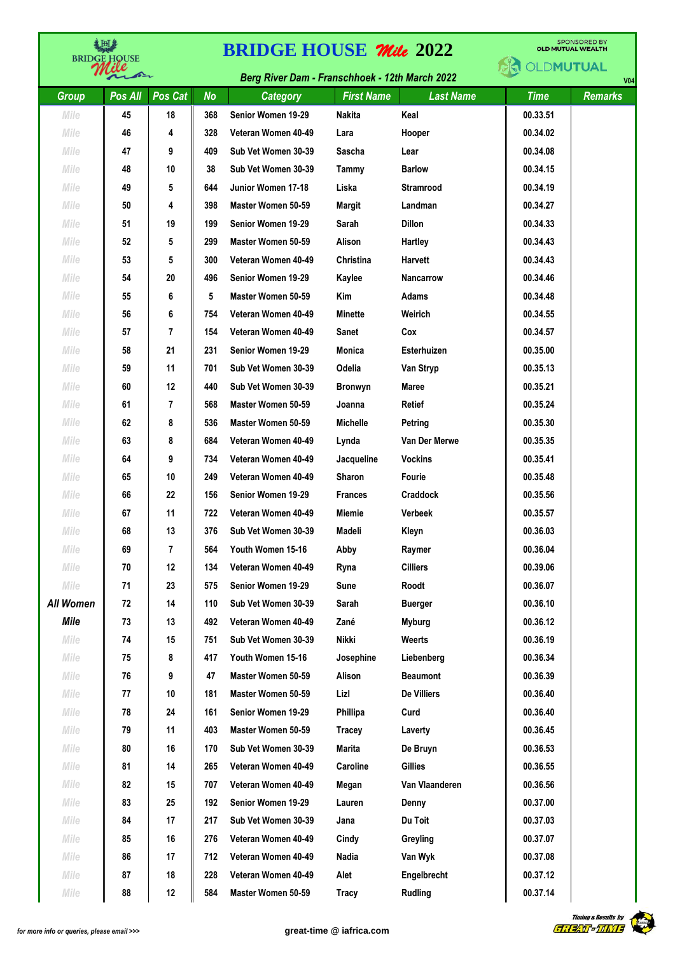| 当时<br><b>BRIDGE HOUSE</b> |         |         | <b>SPONSORED BY</b><br><b>BRIDGE HOUSE Mile 2022</b><br><b>OLD MUTUAL WEALTH</b> |                                                |                   |                                    |             |                |  |  |
|---------------------------|---------|---------|----------------------------------------------------------------------------------|------------------------------------------------|-------------------|------------------------------------|-------------|----------------|--|--|
|                           | ber     |         |                                                                                  | Berg River Dam - Franschhoek - 12th March 2022 |                   | <b>OLDMUTUAL</b><br>V <sub>0</sub> |             |                |  |  |
| <b>Group</b>              | Pos All | Pos Cat | <b>No</b>                                                                        | <b>Category</b>                                | <b>First Name</b> | <b>Last Name</b>                   | <b>Time</b> | <b>Remarks</b> |  |  |
| Mile                      | 45      | 18      | 368                                                                              | Senior Women 19-29                             | <b>Nakita</b>     | Keal                               | 00.33.51    |                |  |  |
| Mile                      | 46      | 4       | 328                                                                              | Veteran Women 40-49                            | Lara              | Hooper                             | 00.34.02    |                |  |  |
| Mile                      | 47      | 9       | 409                                                                              | Sub Vet Women 30-39                            | Sascha            | Lear                               | 00.34.08    |                |  |  |
| Mile                      | 48      | 10      | 38                                                                               | Sub Vet Women 30-39                            | Tammy             | <b>Barlow</b>                      | 00.34.15    |                |  |  |
| Mile                      | 49      | 5       | 644                                                                              | Junior Women 17-18                             | Liska             | <b>Stramrood</b>                   | 00.34.19    |                |  |  |
| Mile                      | 50      | 4       | 398                                                                              | Master Women 50-59                             | Margit            | Landman                            | 00.34.27    |                |  |  |
| Mile                      | 51      | 19      | 199                                                                              | Senior Women 19-29                             | Sarah             | <b>Dillon</b>                      | 00.34.33    |                |  |  |
| Mile                      | 52      | 5       | 299                                                                              | Master Women 50-59                             | Alison            | Hartley                            | 00.34.43    |                |  |  |
| Mile                      | 53      | 5       | 300                                                                              | Veteran Women 40-49                            | Christina         | <b>Harvett</b>                     | 00.34.43    |                |  |  |
| Mile                      | 54      | 20      | 496                                                                              | Senior Women 19-29                             | Kaylee            | Nancarrow                          | 00.34.46    |                |  |  |
| Mile                      | 55      | 6       | 5                                                                                | Master Women 50-59                             | Kim               | Adams                              | 00.34.48    |                |  |  |
| Mile                      | 56      | 6       | 754                                                                              | Veteran Women 40-49                            | <b>Minette</b>    | Weirich                            | 00.34.55    |                |  |  |
| Mile                      | 57      | 7       | 154                                                                              | Veteran Women 40-49                            | <b>Sanet</b>      | Cox                                | 00.34.57    |                |  |  |
| Mile                      | 58      | 21      | 231                                                                              | Senior Women 19-29                             | Monica            | <b>Esterhuizen</b>                 | 00.35.00    |                |  |  |
| Mile                      | 59      | 11      | 701                                                                              | Sub Vet Women 30-39                            | Odelia            | Van Stryp                          | 00.35.13    |                |  |  |
| Mile                      | 60      | 12      | 440                                                                              | Sub Vet Women 30-39                            | <b>Bronwyn</b>    | <b>Maree</b>                       | 00.35.21    |                |  |  |
| Mile                      | 61      | 7       | 568                                                                              | Master Women 50-59                             | Joanna            | <b>Retief</b>                      | 00.35.24    |                |  |  |
| Mile                      | 62      | 8       | 536                                                                              | Master Women 50-59                             | <b>Michelle</b>   | Petring                            | 00.35.30    |                |  |  |
| Mile                      | 63      | 8       | 684                                                                              | Veteran Women 40-49                            | Lynda             | Van Der Merwe                      | 00.35.35    |                |  |  |
| Mile                      | 64      | 9       | 734                                                                              | Veteran Women 40-49                            | Jacqueline        | <b>Vockins</b>                     | 00.35.41    |                |  |  |
| Mile                      | 65      | 10      | 249                                                                              | Veteran Women 40-49                            | <b>Sharon</b>     | Fourie                             | 00.35.48    |                |  |  |
| Mile                      | 66      | 22      | 156                                                                              | Senior Women 19-29                             | <b>Frances</b>    | Craddock                           | 00.35.56    |                |  |  |
| Mile                      | 67      | 11      | 722                                                                              | Veteran Women 40-49                            | Miemie            | <b>Verbeek</b>                     | 00.35.57    |                |  |  |
| Mile                      | 68      | 13      | 376                                                                              | Sub Vet Women 30-39                            | Madeli            | Kleyn                              | 00.36.03    |                |  |  |
| Mile                      | 69      | 7       | 564                                                                              | Youth Women 15-16                              | Abby              | Raymer                             | 00.36.04    |                |  |  |
| Mile                      | 70      | 12      | 134                                                                              | Veteran Women 40-49                            | Ryna              | <b>Cilliers</b>                    | 00.39.06    |                |  |  |
| Mile                      | 71      | 23      | 575                                                                              | Senior Women 19-29                             | Sune              | Roodt                              | 00.36.07    |                |  |  |
| <b>All Women</b>          | 72      | 14      | 110                                                                              | Sub Vet Women 30-39                            | Sarah             | <b>Buerger</b>                     | 00.36.10    |                |  |  |
| Mile                      | 73      | 13      | 492                                                                              | Veteran Women 40-49                            | Zané              | <b>Myburg</b>                      | 00.36.12    |                |  |  |
| Mile                      | 74      | 15      | 751                                                                              | Sub Vet Women 30-39                            | Nikki             | Weerts                             | 00.36.19    |                |  |  |
| Mile                      | 75      | 8       | 417                                                                              | Youth Women 15-16                              | Josephine         | Liebenberg                         | 00.36.34    |                |  |  |
| Mile                      | 76      | 9       | 47                                                                               | Master Women 50-59                             | Alison            | <b>Beaumont</b>                    | 00.36.39    |                |  |  |
| Mile                      | 77      | 10      | 181                                                                              | Master Women 50-59                             | Lizl              | De Villiers                        | 00.36.40    |                |  |  |
| Mile                      | 78      | 24      | 161                                                                              | Senior Women 19-29                             | <b>Phillipa</b>   | Curd                               | 00.36.40    |                |  |  |
| Mile                      | 79      | 11      | 403                                                                              | Master Women 50-59                             | <b>Tracey</b>     | Laverty                            | 00.36.45    |                |  |  |
| Mile                      | 80      | 16      | 170                                                                              | Sub Vet Women 30-39                            | Marita            | De Bruyn                           | 00.36.53    |                |  |  |
| Mile                      | 81      | 14      | 265                                                                              | Veteran Women 40-49                            | Caroline          | Gillies                            | 00.36.55    |                |  |  |
| Mile                      | 82      | 15      | 707                                                                              | Veteran Women 40-49                            | Megan             | Van Vlaanderen                     | 00.36.56    |                |  |  |
| Mile                      | 83      | 25      | 192                                                                              | Senior Women 19-29                             | Lauren            | Denny                              | 00.37.00    |                |  |  |
| Mile                      | 84      | 17      | 217                                                                              | Sub Vet Women 30-39                            | Jana              | Du Toit                            | 00.37.03    |                |  |  |
| Mile                      | 85      | 16      | 276                                                                              | Veteran Women 40-49                            | Cindy             | Greyling                           | 00.37.07    |                |  |  |
| Mile                      | 86      | 17      | 712                                                                              | Veteran Women 40-49                            | Nadia             | Van Wyk                            | 00.37.08    |                |  |  |
| Mile                      | 87      | 18      | 228                                                                              | Veteran Women 40-49                            | Alet              | Engelbrecht                        | 00.37.12    |                |  |  |
| Mile                      | 88      | 12      | 584                                                                              | Master Women 50-59                             | Tracy             | <b>Rudling</b>                     | 00.37.14    |                |  |  |

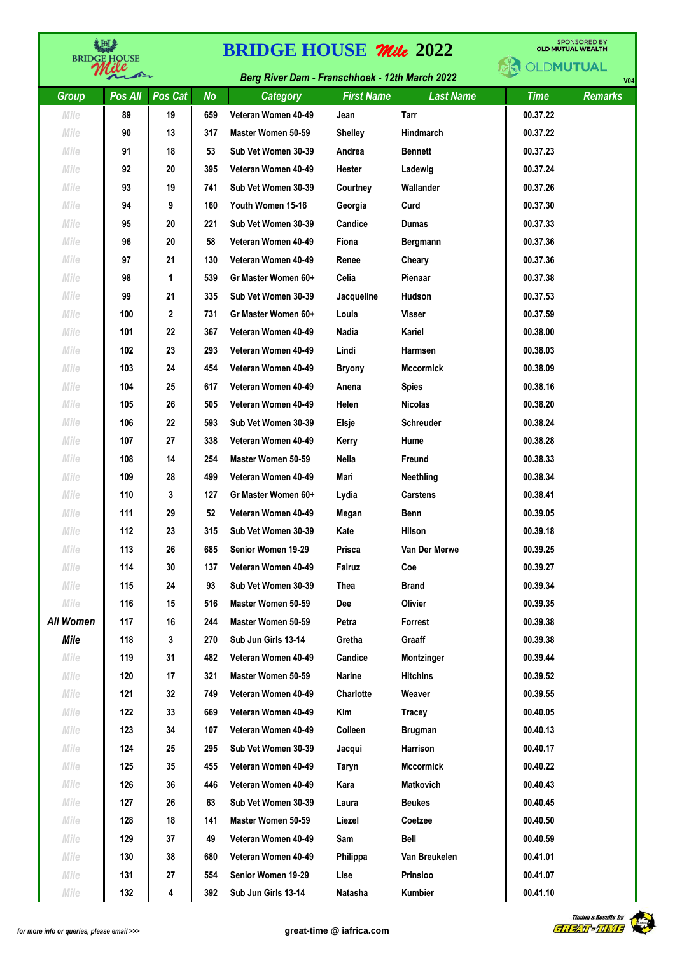| 美田彦<br><b>BRIDGE HOUSE</b> |         |         | <b>BRIDGE HOUSE Mile 2022</b> |                                                | <b>SPONSORED BY</b><br><b>OLD MUTUAL WEALTH</b> |                  |             |                |
|----------------------------|---------|---------|-------------------------------|------------------------------------------------|-------------------------------------------------|------------------|-------------|----------------|
|                            | de      |         |                               | Berg River Dam - Franschhoek - 12th March 2022 |                                                 |                  | OLDMUTUAL   | V <sub>0</sub> |
| <b>Group</b>               | Pos All | Pos Cat | <b>No</b>                     | Category                                       | <b>First Name</b>                               | <b>Last Name</b> | <b>Time</b> | <b>Remarks</b> |
| Mile                       | 89      | 19      | 659                           | Veteran Women 40-49                            | Jean                                            | Tarr             | 00.37.22    |                |
| Mile                       | 90      | 13      | 317                           | Master Women 50-59                             | <b>Shelley</b>                                  | Hindmarch        | 00.37.22    |                |
| Mile                       | 91      | 18      | 53                            | Sub Vet Women 30-39                            | Andrea                                          | <b>Bennett</b>   | 00.37.23    |                |
| Mile                       | 92      | 20      | 395                           | Veteran Women 40-49                            | Hester                                          | Ladewig          | 00.37.24    |                |
| Mile                       | 93      | 19      | 741                           | Sub Vet Women 30-39                            | Courtney                                        | Wallander        | 00.37.26    |                |
| Mile                       | 94      | 9       | 160                           | Youth Women 15-16                              | Georgia                                         | Curd             | 00.37.30    |                |
| Mile                       | 95      | 20      | 221                           | Sub Vet Women 30-39                            | Candice                                         | <b>Dumas</b>     | 00.37.33    |                |
| Mile                       | 96      | 20      | 58                            | Veteran Women 40-49                            | Fiona                                           | Bergmann         | 00.37.36    |                |
| Mile                       | 97      | 21      | 130                           | Veteran Women 40-49                            | Renee                                           | Cheary           | 00.37.36    |                |
| Mile                       | 98      | 1       | 539                           | Gr Master Women 60+                            | Celia                                           | Pienaar          | 00.37.38    |                |
| Mile                       | 99      | 21      | 335                           | Sub Vet Women 30-39                            | Jacqueline                                      | Hudson           | 00.37.53    |                |
| Mile                       | 100     | 2       | 731                           | Gr Master Women 60+                            | Loula                                           | <b>Visser</b>    | 00.37.59    |                |
| Mile                       | 101     | 22      | 367                           | Veteran Women 40-49                            | Nadia                                           | Kariel           | 00.38.00    |                |
| Mile                       | 102     | 23      | 293                           | Veteran Women 40-49                            | Lindi                                           | Harmsen          | 00.38.03    |                |
| Mile                       | 103     | 24      | 454                           | Veteran Women 40-49                            | <b>Bryony</b>                                   | <b>Mccormick</b> | 00.38.09    |                |
| Mile                       | 104     | 25      | 617                           | Veteran Women 40-49                            | Anena                                           | <b>Spies</b>     | 00.38.16    |                |
| Mile                       | 105     | 26      | 505                           | Veteran Women 40-49                            | Helen                                           | <b>Nicolas</b>   | 00.38.20    |                |
| Mile                       | 106     | 22      | 593                           | Sub Vet Women 30-39                            | Elsje                                           | <b>Schreuder</b> | 00.38.24    |                |
| Mile                       | 107     | 27      | 338                           | Veteran Women 40-49                            | Kerry                                           | Hume             | 00.38.28    |                |
| Mile                       | 108     | 14      | 254                           | Master Women 50-59                             | Nella                                           | Freund           | 00.38.33    |                |
| Mile                       | 109     | 28      | 499                           | Veteran Women 40-49                            | Mari                                            | Neethling        | 00.38.34    |                |
| Mile                       | 110     | 3       | 127                           | Gr Master Women 60+                            | Lydia                                           | <b>Carstens</b>  | 00.38.41    |                |
| Mile                       | 111     | 29      | 52                            | Veteran Women 40-49                            | Megan                                           | <b>Benn</b>      | 00.39.05    |                |
| Mile                       | 112     | 23      | 315                           | Sub Vet Women 30-39                            | Kate                                            | Hilson           | 00.39.18    |                |
| Mile                       | 113     | 26      | 685                           | Senior Women 19-29                             | Prisca                                          | Van Der Merwe    | 00.39.25    |                |
| Mile                       | 114     | 30      | 137                           | Veteran Women 40-49                            | Fairuz                                          | Coe              | 00.39.27    |                |
| Mile                       | 115     | 24      | 93                            | Sub Vet Women 30-39                            | Thea                                            | <b>Brand</b>     | 00.39.34    |                |
| Mile                       | 116     | 15      | 516                           | Master Women 50-59                             | Dee                                             | Olivier          | 00.39.35    |                |
| <b>All Women</b>           | 117     | 16      | 244                           | Master Women 50-59                             | Petra                                           | Forrest          | 00.39.38    |                |
| Mile                       | 118     | 3       | 270                           | Sub Jun Girls 13-14                            | Gretha                                          | Graaff           | 00.39.38    |                |
| Mile                       | 119     | 31      | 482                           | Veteran Women 40-49                            | Candice                                         | Montzinger       | 00.39.44    |                |
| Mile                       | 120     | 17      | 321                           | Master Women 50-59                             | Narine                                          | <b>Hitchins</b>  | 00.39.52    |                |
| Mile                       | 121     | 32      | 749                           | Veteran Women 40-49                            | Charlotte                                       | Weaver           | 00.39.55    |                |
| Mile                       | 122     | 33      | 669                           | Veteran Women 40-49                            | Kim                                             | Tracey           | 00.40.05    |                |
| Mile                       | 123     | 34      | 107                           | Veteran Women 40-49                            | Colleen                                         | <b>Brugman</b>   | 00.40.13    |                |
| Mile                       | 124     | 25      | 295                           | Sub Vet Women 30-39                            | Jacqui                                          | Harrison         | 00.40.17    |                |
| Mile                       | 125     | 35      | 455                           | Veteran Women 40-49                            | Taryn                                           | <b>Mccormick</b> | 00.40.22    |                |
| Mile                       | 126     | 36      | 446                           | Veteran Women 40-49                            | Kara                                            | Matkovich        | 00.40.43    |                |
| Mile                       | 127     | 26      | 63                            | Sub Vet Women 30-39                            | Laura                                           | <b>Beukes</b>    | 00.40.45    |                |
| Mile                       | 128     | 18      | 141                           | Master Women 50-59                             | Liezel                                          | Coetzee          | 00.40.50    |                |
| Mile                       | 129     | 37      | 49                            | Veteran Women 40-49                            | Sam                                             | Bell             | 00.40.59    |                |
| Mile                       | 130     | 38      | 680                           | Veteran Women 40-49                            | Philippa                                        | Van Breukelen    | 00.41.01    |                |
| Mile                       | 131     | 27      | 554                           | Senior Women 19-29                             | Lise                                            | Prinsloo         | 00.41.07    |                |
| Mile                       | 132     | 4       | 392                           | Sub Jun Girls 13-14                            | Natasha                                         | Kumbier          | 00.41.10    |                |

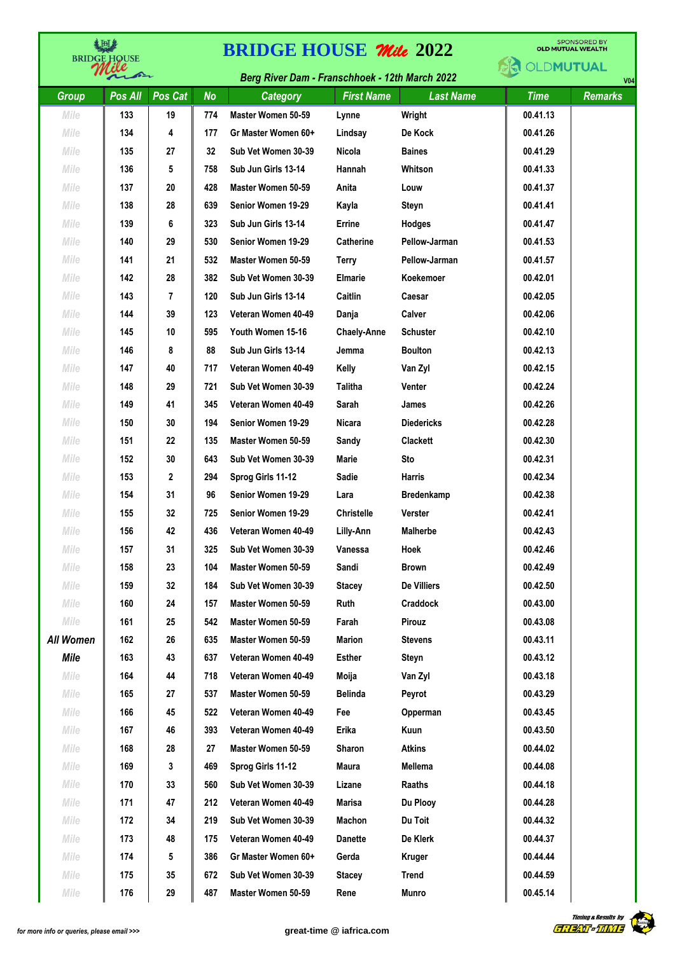| 《国基<br><b>BRIDGE HQUSE</b> |              |         | <b>SPONSORED BY</b><br><b>BRIDGE HOUSE Mile 2022</b><br><b>OLD MUTUAL WEALTH</b> |                                                |                    |                   |                  |                |  |  |
|----------------------------|--------------|---------|----------------------------------------------------------------------------------|------------------------------------------------|--------------------|-------------------|------------------|----------------|--|--|
|                            | $\leftarrow$ |         |                                                                                  | Berg River Dam - Franschhoek - 12th March 2022 |                    |                   | <b>OLDMUTUAL</b> | V <sub>0</sub> |  |  |
| <b>Group</b>               | Pos All      | Pos Cat | <b>No</b>                                                                        | Category                                       | <b>First Name</b>  | <b>Last Name</b>  | <b>Time</b>      | <b>Remarks</b> |  |  |
| Mile                       | 133          | 19      | 774                                                                              | Master Women 50-59                             | Lynne              | Wright            | 00.41.13         |                |  |  |
| Mile                       | 134          | 4       | 177                                                                              | Gr Master Women 60+                            | Lindsay            | De Kock           | 00.41.26         |                |  |  |
| Mile                       | 135          | 27      | 32                                                                               | Sub Vet Women 30-39                            | Nicola             | <b>Baines</b>     | 00.41.29         |                |  |  |
| Mile                       | 136          | 5       | 758                                                                              | Sub Jun Girls 13-14                            | Hannah             | Whitson           | 00.41.33         |                |  |  |
| Mile                       | 137          | 20      | 428                                                                              | Master Women 50-59                             | Anita              | Louw              | 00.41.37         |                |  |  |
| Mile                       | 138          | 28      | 639                                                                              | Senior Women 19-29                             | Kayla              | Steyn             | 00.41.41         |                |  |  |
| Mile                       | 139          | 6       | 323                                                                              | Sub Jun Girls 13-14                            | Errine             | Hodges            | 00.41.47         |                |  |  |
| Mile                       | 140          | 29      | 530                                                                              | Senior Women 19-29                             | <b>Catherine</b>   | Pellow-Jarman     | 00.41.53         |                |  |  |
| Mile                       | 141          | 21      | 532                                                                              | Master Women 50-59                             | <b>Terry</b>       | Pellow-Jarman     | 00.41.57         |                |  |  |
| Mile                       | 142          | 28      | 382                                                                              | Sub Vet Women 30-39                            | <b>Elmarie</b>     | Koekemoer         | 00.42.01         |                |  |  |
| Mile                       | 143          | 7       | 120                                                                              | Sub Jun Girls 13-14                            | Caitlin            | Caesar            | 00.42.05         |                |  |  |
| Mile                       | 144          | 39      | 123                                                                              | Veteran Women 40-49                            | Danja              | Calver            | 00.42.06         |                |  |  |
| Mile                       | 145          | 10      | 595                                                                              | Youth Women 15-16                              | <b>Chaely-Anne</b> | <b>Schuster</b>   | 00.42.10         |                |  |  |
| Mile                       | 146          | 8       | 88                                                                               | Sub Jun Girls 13-14                            | Jemma              | <b>Boulton</b>    | 00.42.13         |                |  |  |
| Mile                       | 147          | 40      | 717                                                                              | Veteran Women 40-49                            | Kelly              | Van Zyl           | 00.42.15         |                |  |  |
| Mile                       | 148          | 29      | 721                                                                              | Sub Vet Women 30-39                            | <b>Talitha</b>     | Venter            | 00.42.24         |                |  |  |
| Mile                       | 149          | 41      | 345                                                                              | Veteran Women 40-49                            | Sarah              | James             | 00.42.26         |                |  |  |
| Mile                       | 150          | 30      | 194                                                                              | Senior Women 19-29                             | <b>Nicara</b>      | <b>Diedericks</b> | 00.42.28         |                |  |  |
| Mile                       | 151          | 22      | 135                                                                              | Master Women 50-59                             | Sandy              | <b>Clackett</b>   | 00.42.30         |                |  |  |
| Mile                       | 152          | 30      | 643                                                                              | Sub Vet Women 30-39                            | Marie              | Sto               | 00.42.31         |                |  |  |
| Mile                       | 153          | 2       | 294                                                                              | Sprog Girls 11-12                              | <b>Sadie</b>       | <b>Harris</b>     | 00.42.34         |                |  |  |
| Mile                       | 154          | 31      | 96                                                                               | Senior Women 19-29                             | Lara               | Bredenkamp        | 00.42.38         |                |  |  |
| Mile                       | 155          | 32      | 725                                                                              | Senior Women 19-29                             | <b>Christelle</b>  | Verster           | 00.42.41         |                |  |  |
| Mile                       | 156          | 42      | 436                                                                              | Veteran Women 40-49                            | Lilly-Ann          | <b>Malherbe</b>   | 00.42.43         |                |  |  |
| Mile                       | 157          | 31      | 325                                                                              | Sub Vet Women 30-39                            | Vanessa            | Hoek              | 00.42.46         |                |  |  |
| Mile                       | 158          | 23      | 104                                                                              | Master Women 50-59                             | Sandi              | <b>Brown</b>      | 00.42.49         |                |  |  |
| Mile                       | 159          | 32      | 184                                                                              | Sub Vet Women 30-39                            | <b>Stacey</b>      | De Villiers       | 00.42.50         |                |  |  |
| Mile                       | 160          | 24      | 157                                                                              | Master Women 50-59                             | Ruth               | Craddock          | 00.43.00         |                |  |  |
| Mile                       | 161          | 25      | 542                                                                              | Master Women 50-59                             | Farah              | <b>Pirouz</b>     | 00.43.08         |                |  |  |
| <b>All Women</b>           | 162          | 26      | 635                                                                              | Master Women 50-59                             | <b>Marion</b>      | <b>Stevens</b>    | 00.43.11         |                |  |  |
| Mile                       | 163          | 43      | 637                                                                              | Veteran Women 40-49                            | <b>Esther</b>      | Steyn             | 00.43.12         |                |  |  |
| Mile                       | 164          | 44      | 718                                                                              | Veteran Women 40-49                            | Moija              | Van Zyl           | 00.43.18         |                |  |  |
| Mile                       | 165          | 27      | 537                                                                              | Master Women 50-59                             | <b>Belinda</b>     | Peyrot            | 00.43.29         |                |  |  |
| Mile                       | 166          | 45      | 522                                                                              | Veteran Women 40-49                            | Fee                | Opperman          | 00.43.45         |                |  |  |
| Mile                       | 167          | 46      | 393                                                                              | Veteran Women 40-49                            | Erika              | Kuun              | 00.43.50         |                |  |  |
| Mile                       | 168          | 28      | 27                                                                               | Master Women 50-59                             | Sharon             | <b>Atkins</b>     | 00.44.02         |                |  |  |
| Mile                       | 169          | 3       | 469                                                                              | Sprog Girls 11-12                              | Maura              | Mellema           | 00.44.08         |                |  |  |
| Mile                       | 170          | 33      | 560                                                                              | Sub Vet Women 30-39                            | Lizane             | Raaths            | 00.44.18         |                |  |  |
| Mile                       | 171          | 47      | 212                                                                              | Veteran Women 40-49                            | Marisa             | Du Plooy          | 00.44.28         |                |  |  |
| Mile                       | 172          | 34      | 219                                                                              | Sub Vet Women 30-39                            | Machon             | Du Toit           | 00.44.32         |                |  |  |
| Mile                       | 173          | 48      | 175                                                                              | Veteran Women 40-49                            | <b>Danette</b>     | De Klerk          | 00.44.37         |                |  |  |
| Mile                       | 174          | 5       | 386                                                                              | Gr Master Women 60+                            | Gerda              | Kruger            | 00.44.44         |                |  |  |
| Mile                       | 175          | 35      | 672                                                                              | Sub Vet Women 30-39                            | <b>Stacey</b>      | Trend             | 00.44.59         |                |  |  |
| Mile                       | 176          | 29      | 487                                                                              | Master Women 50-59                             | Rene               | Munro             | 00.45.14         |                |  |  |

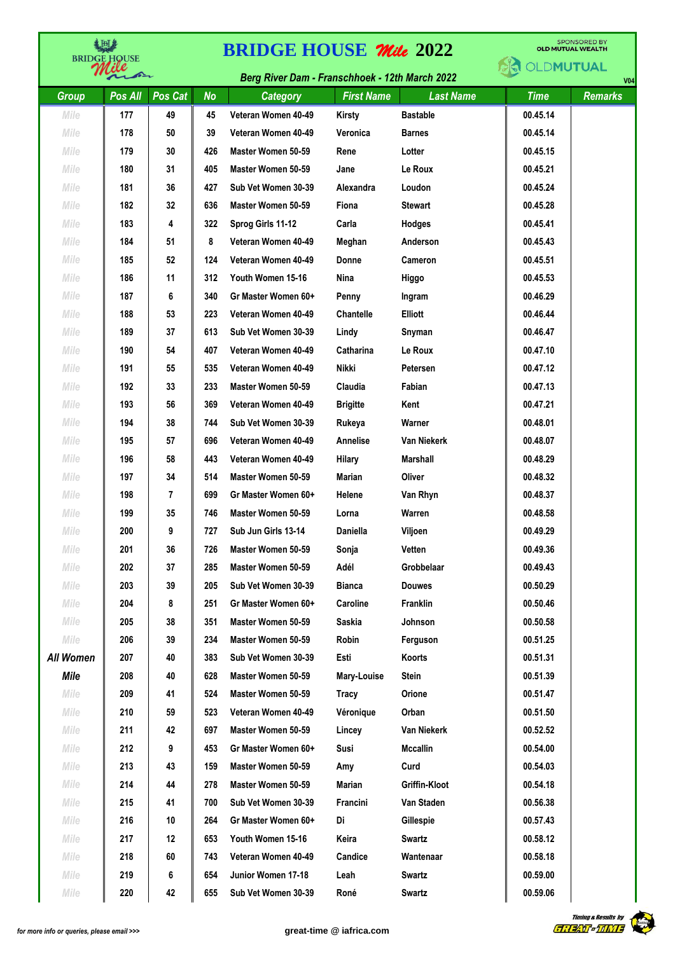| <b>《旧》</b><br><b>BRIDGE HOUSE</b> |              |         | <b>BRIDGE HOUSE Mile 2022</b> | <b>SPONSORED BY</b><br><b>OLD MUTUAL WEALTH</b> |                   |                    |                  |                |
|-----------------------------------|--------------|---------|-------------------------------|-------------------------------------------------|-------------------|--------------------|------------------|----------------|
|                                   | $\leftarrow$ |         |                               | Berg River Dam - Franschhoek - 12th March 2022  |                   |                    | <b>OLDMUTUAL</b> | V <sub>0</sub> |
| <b>Group</b>                      | Pos All      | Pos Cat | <b>No</b>                     | Category                                        | <b>First Name</b> | <b>Last Name</b>   | <b>Time</b>      | <b>Remarks</b> |
| Mile                              | 177          | 49      | 45                            | Veteran Women 40-49                             | <b>Kirsty</b>     | <b>Bastable</b>    | 00.45.14         |                |
| Mile                              | 178          | 50      | 39                            | Veteran Women 40-49                             | Veronica          | <b>Barnes</b>      | 00.45.14         |                |
| Mile                              | 179          | 30      | 426                           | Master Women 50-59                              | Rene              | Lotter             | 00.45.15         |                |
| Mile                              | 180          | 31      | 405                           | Master Women 50-59                              | Jane              | Le Roux            | 00.45.21         |                |
| Mile                              | 181          | 36      | 427                           | Sub Vet Women 30-39                             | Alexandra         | Loudon             | 00.45.24         |                |
| Mile                              | 182          | 32      | 636                           | Master Women 50-59                              | Fiona             | <b>Stewart</b>     | 00.45.28         |                |
| Mile                              | 183          | 4       | 322                           | Sprog Girls 11-12                               | Carla             | Hodges             | 00.45.41         |                |
| Mile                              | 184          | 51      | 8                             | Veteran Women 40-49                             | Meghan            | Anderson           | 00.45.43         |                |
| Mile                              | 185          | 52      | 124                           | Veteran Women 40-49                             | Donne             | Cameron            | 00.45.51         |                |
| Mile                              | 186          | 11      | 312                           | Youth Women 15-16                               | Nina              | Higgo              | 00.45.53         |                |
| Mile                              | 187          | 6       | 340                           | Gr Master Women 60+                             | Penny             | Ingram             | 00.46.29         |                |
| Mile                              | 188          | 53      | 223                           | Veteran Women 40-49                             | <b>Chantelle</b>  | <b>Elliott</b>     | 00.46.44         |                |
| Mile                              | 189          | 37      | 613                           | Sub Vet Women 30-39                             | Lindy             | Snyman             | 00.46.47         |                |
| Mile                              | 190          | 54      | 407                           | Veteran Women 40-49                             | Catharina         | Le Roux            | 00.47.10         |                |
| Mile                              | 191          | 55      | 535                           | Veteran Women 40-49                             | <b>Nikki</b>      | Petersen           | 00.47.12         |                |
| Mile                              | 192          | 33      | 233                           | Master Women 50-59                              | Claudia           | Fabian             | 00.47.13         |                |
| Mile                              | 193          | 56      | 369                           | Veteran Women 40-49                             | <b>Brigitte</b>   | Kent               | 00.47.21         |                |
| Mile                              | 194          | 38      | 744                           | Sub Vet Women 30-39                             | Rukeya            | Warner             | 00.48.01         |                |
| Mile                              | 195          | 57      | 696                           | Veteran Women 40-49                             | Annelise          | <b>Van Niekerk</b> | 00.48.07         |                |
| Mile                              | 196          | 58      | 443                           | Veteran Women 40-49                             | Hilary            | Marshall           | 00.48.29         |                |
| Mile                              | 197          | 34      | 514                           | Master Women 50-59                              | Marian            | Oliver             | 00.48.32         |                |
| Mile                              | 198          | 7       | 699                           | Gr Master Women 60+                             | Helene            | Van Rhyn           | 00.48.37         |                |
| Mile                              | 199          | 35      | 746                           | Master Women 50-59                              | Lorna             | Warren             | 00.48.58         |                |
| Mile                              | 200          | 9       | 727                           | Sub Jun Girls 13-14                             | Daniella          | Viljoen            | 00.49.29         |                |
| Mile                              | 201          | 36      | 726                           | Master Women 50-59                              | Sonja             | Vetten             | 00.49.36         |                |
| Mile                              | 202          | 37      | 285                           | Master Women 50-59                              | Adél              | Grobbelaar         | 00.49.43         |                |
| Mile                              | 203          | 39      | 205                           | Sub Vet Women 30-39                             | <b>Bianca</b>     | <b>Douwes</b>      | 00.50.29         |                |
| Mile                              | 204          | 8       | 251                           | Gr Master Women 60+                             | Caroline          | Franklin           | 00.50.46         |                |
| Mile                              | 205          | 38      | 351                           | Master Women 50-59                              | Saskia            | Johnson            | 00.50.58         |                |
| Mile                              | 206          | 39      | 234                           | Master Women 50-59                              | Robin             | Ferguson           | 00.51.25         |                |
| <b>All Women</b>                  | 207          | 40      | 383                           | Sub Vet Women 30-39                             | Esti              | Koorts             | 00.51.31         |                |
| Mile                              | 208          | 40      | 628                           | Master Women 50-59                              | Mary-Louise       | Stein              | 00.51.39         |                |
| Mile                              | 209          | 41      | 524                           | Master Women 50-59                              | Tracy             | Orione             | 00.51.47         |                |
| Mile                              | 210          | 59      | 523                           | Veteran Women 40-49                             | Véronique         | Orban              | 00.51.50         |                |
| Mile                              | 211          | 42      | 697                           | Master Women 50-59                              | Lincey            | Van Niekerk        | 00.52.52         |                |
| Mile                              | 212          | 9       | 453                           | Gr Master Women 60+                             | Susi              | <b>Mccallin</b>    | 00.54.00         |                |
| Mile                              | 213          | 43      | 159                           | Master Women 50-59                              | Amy               | Curd               | 00.54.03         |                |
| Mile                              | 214          | 44      | 278                           | Master Women 50-59                              | <b>Marian</b>     | Griffin-Kloot      | 00.54.18         |                |
| Mile                              | 215          | 41      | 700                           | Sub Vet Women 30-39                             | Francini          | Van Staden         | 00.56.38         |                |
| Mile                              | 216          | 10      | 264                           | Gr Master Women 60+                             | Di                | Gillespie          | 00.57.43         |                |
| Mile                              | 217          | 12      | 653                           | Youth Women 15-16                               | Keira             | Swartz             | 00.58.12         |                |
| Mile                              | 218          | 60      | 743                           | Veteran Women 40-49                             | Candice           | Wantenaar          | 00.58.18         |                |
| Mile                              | 219          | 6       | 654                           | Junior Women 17-18                              | Leah              | <b>Swartz</b>      | 00.59.00         |                |
| Mile                              | 220          | 42      | 655                           | Sub Vet Women 30-39                             | Roné              | Swartz             | 00.59.06         |                |

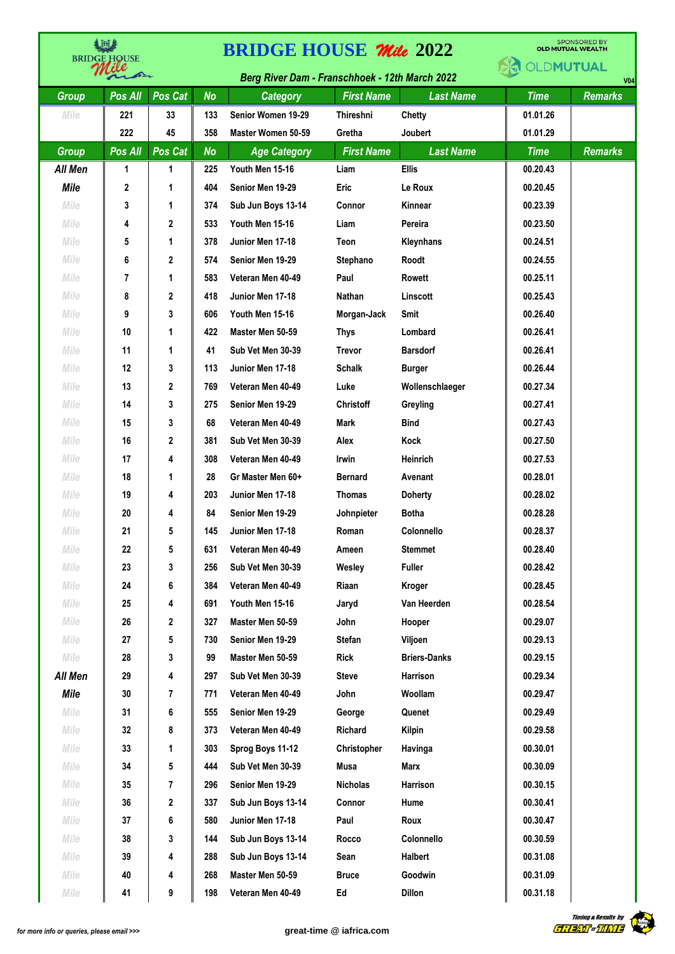|              | <b>ABD</b><br><b>BRIDGE HOUSE</b> |              | <b>BRIDGE HOUSE Mile 2022</b> |                                                       |                   | <b>SPONSORED BY</b><br><b>OLD MUTUAL WEALTH</b> |                  |                |
|--------------|-----------------------------------|--------------|-------------------------------|-------------------------------------------------------|-------------------|-------------------------------------------------|------------------|----------------|
|              | ∕∼                                |              |                               | <b>Berg River Dam - Franschhoek - 12th March 2022</b> |                   |                                                 | <b>OLDMUTUAL</b> | <b>V04</b>     |
| <b>Group</b> | Pos All                           | Pos Cat      | <b>No</b>                     | <b>Category</b>                                       | <b>First Name</b> | <b>Last Name</b>                                | <b>Time</b>      | <b>Remarks</b> |
| Mile         | 221                               | 33           | 133                           | Senior Women 19-29                                    | <b>Thireshni</b>  | Chetty                                          | 01.01.26         |                |
|              | 222                               | 45           | 358                           | Master Women 50-59                                    | Gretha            | <b>Joubert</b>                                  | 01.01.29         |                |
| <b>Group</b> | Pos All                           | Pos Cat      | <b>No</b>                     | <b>Age Category</b>                                   | <b>First Name</b> | <b>Last Name</b>                                | <b>Time</b>      | <b>Remarks</b> |
| All Men      | 1                                 | 1            | 225                           | Youth Men 15-16                                       | Liam              | <b>Ellis</b>                                    | 00.20.43         |                |
| <b>Mile</b>  | 2                                 | 1            | 404                           | Senior Men 19-29                                      | <b>Eric</b>       | Le Roux                                         | 00.20.45         |                |
| Mile         | 3                                 | 1            | 374                           | Sub Jun Boys 13-14                                    | Connor            | Kinnear                                         | 00.23.39         |                |
| Mile         | 4                                 | $\mathbf{2}$ | 533                           | Youth Men 15-16                                       | Liam              | Pereira                                         | 00.23.50         |                |
| Mile         | 5                                 | 1            | 378                           | Junior Men 17-18                                      | Teon              | Kleynhans                                       | 00.24.51         |                |
| Mile         | 6                                 | 2            | 574                           | Senior Men 19-29                                      | Stephano          | Roodt                                           | 00.24.55         |                |
| Mile         | 7                                 | 1            | 583                           | Veteran Men 40-49                                     | Paul              | Rowett                                          | 00.25.11         |                |
| Mile         | 8                                 | 2            | 418                           | Junior Men 17-18                                      | Nathan            | Linscott                                        | 00.25.43         |                |
| Mile         | 9                                 | 3            | 606                           | Youth Men 15-16                                       | Morgan-Jack       | Smit                                            | 00.26.40         |                |
| Mile         | 10                                | 1            | 422                           | Master Men 50-59                                      | <b>Thys</b>       | Lombard                                         | 00.26.41         |                |
| Mile         | 11                                | 1            | 41                            | Sub Vet Men 30-39                                     | <b>Trevor</b>     | <b>Barsdorf</b>                                 | 00.26.41         |                |
| Mile         | 12                                | 3            | 113                           | Junior Men 17-18                                      | <b>Schalk</b>     | <b>Burger</b>                                   | 00.26.44         |                |
| Mile         | 13                                | $\mathbf{2}$ | 769                           | Veteran Men 40-49                                     | Luke              | Wollenschlaeger                                 | 00.27.34         |                |
| Mile         | 14                                | 3            | 275                           | Senior Men 19-29                                      | <b>Christoff</b>  | Greyling                                        | 00.27.41         |                |
| Mile         | 15                                | 3            | 68                            | Veteran Men 40-49                                     | Mark              | <b>Bind</b>                                     | 00.27.43         |                |
| Mile         | 16                                | 2            | 381                           | Sub Vet Men 30-39                                     | Alex              | Kock                                            | 00.27.50         |                |
| Mile         | 17                                | 4            | 308                           | Veteran Men 40-49                                     | Irwin             | <b>Heinrich</b>                                 | 00.27.53         |                |
| Mile         | 18                                | 1            | 28                            | Gr Master Men 60+                                     | <b>Bernard</b>    | Avenant                                         | 00.28.01         |                |
| Mile         | 19                                | 4            | 203                           | Junior Men 17-18                                      | <b>Thomas</b>     | <b>Doherty</b>                                  | 00.28.02         |                |
| Mile         | 20                                | 4            | 84                            | Senior Men 19-29                                      | Johnpieter        | <b>Botha</b>                                    | 00.28.28         |                |
| Mile         | 21                                | 5            | 145                           | Junior Men 17-18                                      | Roman             | Colonnello                                      | 00.28.37         |                |
| Mile         | 22                                | 5            | 631                           | Veteran Men 40-49                                     | Ameen             | <b>Stemmet</b>                                  | 00.28.40         |                |
| Mile         | 23                                | 3            | 256                           | Sub Vet Men 30-39                                     | Wesley            | <b>Fuller</b>                                   | 00.28.42         |                |
| Mile         | 24                                | 6            | 384                           | Veteran Men 40-49                                     | Riaan             | Kroger                                          | 00.28.45         |                |
| Mile         | 25                                | 4            | 691                           | Youth Men 15-16                                       | Jaryd             | Van Heerden                                     | 00.28.54         |                |
| Mile         | 26                                | 2            | 327                           | Master Men 50-59                                      | John              | Hooper                                          | 00.29.07         |                |
| Mile         | 27                                | 5            | 730                           | Senior Men 19-29                                      | <b>Stefan</b>     | Viljoen                                         | 00.29.13         |                |
| Mile         | 28                                | 3            | 99                            | Master Men 50-59                                      | Rick              | <b>Briers-Danks</b>                             | 00.29.15         |                |
| All Men      | 29                                | 4            | 297                           | Sub Vet Men 30-39                                     | <b>Steve</b>      | Harrison                                        | 00.29.34         |                |
| Mile         | 30                                | 7            | 771                           | Veteran Men 40-49                                     | John              | Woollam                                         | 00.29.47         |                |
| Mile         | 31                                | 6            | 555                           | Senior Men 19-29                                      | George            | Quenet                                          | 00.29.49         |                |
| Mile         | 32                                | 8            | 373                           | Veteran Men 40-49                                     | Richard           | Kilpin                                          | 00.29.58         |                |
| Mile         | 33                                | 1            | 303                           | Sprog Boys 11-12                                      | Christopher       | Havinga                                         | 00.30.01         |                |
| Mile         | 34                                | 5            | 444                           | Sub Vet Men 30-39                                     | <b>Musa</b>       | Marx                                            | 00.30.09         |                |
| Mile         | 35                                | 7            | 296                           | Senior Men 19-29                                      | <b>Nicholas</b>   | Harrison                                        | 00.30.15         |                |
| Mile         | 36                                | 2            | 337                           | Sub Jun Boys 13-14                                    | Connor            | Hume                                            | 00.30.41         |                |
| Mile         | 37                                | 6            | 580                           | Junior Men 17-18                                      | Paul              | Roux                                            | 00.30.47         |                |
| Mile         | 38                                | 3            | 144                           | Sub Jun Boys 13-14                                    | Rocco             | Colonnello                                      | 00.30.59         |                |
| Mile         | 39                                | 4            | 288                           | Sub Jun Boys 13-14                                    | Sean              | Halbert                                         | 00.31.08         |                |
| Mile         | 40                                | 4            | 268                           | Master Men 50-59                                      | <b>Bruce</b>      | Goodwin                                         | 00.31.09         |                |
| Mile         | 41                                | 9            | 198                           | Veteran Men 40-49                                     | Ed                | <b>Dillon</b>                                   | 00.31.18         |                |

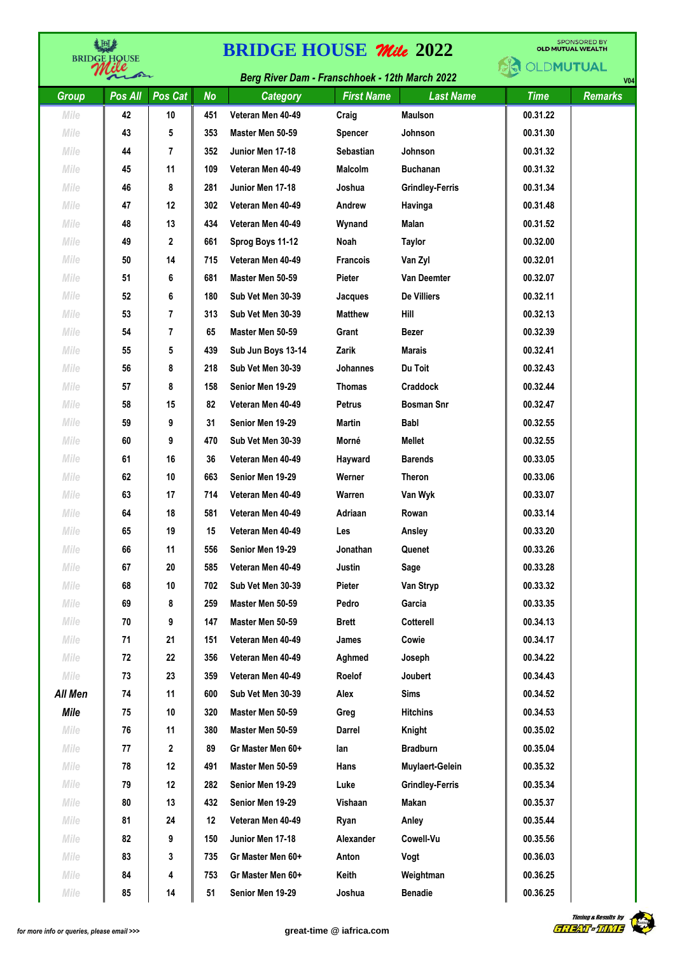| ま回き<br><b>BRIDGE HOUSE</b> |         |                | <b>SPONSORED BY</b><br><b>BRIDGE HOUSE Mile 2022</b><br><b>OLD MUTUAL WEALTH</b> |                                                       |                   |                                    |             |                |  |
|----------------------------|---------|----------------|----------------------------------------------------------------------------------|-------------------------------------------------------|-------------------|------------------------------------|-------------|----------------|--|
|                            |         |                |                                                                                  | <b>Berg River Dam - Franschhoek - 12th March 2022</b> |                   | <b>OLDMUTUAL</b><br>V <sub>0</sub> |             |                |  |
| <b>Group</b>               | Pos All | Pos Cat        | <b>No</b>                                                                        | Category                                              | <b>First Name</b> | <b>Last Name</b>                   | <b>Time</b> | <b>Remarks</b> |  |
| Mile                       | 42      | 10             | 451                                                                              | Veteran Men 40-49                                     | Craig             | <b>Maulson</b>                     | 00.31.22    |                |  |
| Mile                       | 43      | 5              | 353                                                                              | Master Men 50-59                                      | <b>Spencer</b>    | Johnson                            | 00.31.30    |                |  |
| Mile                       | 44      | 7              | 352                                                                              | Junior Men 17-18                                      | <b>Sebastian</b>  | Johnson                            | 00.31.32    |                |  |
| Mile                       | 45      | 11             | 109                                                                              | Veteran Men 40-49                                     | <b>Malcolm</b>    | <b>Buchanan</b>                    | 00.31.32    |                |  |
| Mile                       | 46      | 8              | 281                                                                              | Junior Men 17-18                                      | Joshua            | <b>Grindley-Ferris</b>             | 00.31.34    |                |  |
| Mile                       | 47      | 12             | 302                                                                              | Veteran Men 40-49                                     | Andrew            | Havinga                            | 00.31.48    |                |  |
| Mile                       | 48      | 13             | 434                                                                              | Veteran Men 40-49                                     | Wynand            | Malan                              | 00.31.52    |                |  |
| Mile                       | 49      | 2              | 661                                                                              | Sprog Boys 11-12                                      | Noah              | Taylor                             | 00.32.00    |                |  |
| Mile                       | 50      | 14             | 715                                                                              | Veteran Men 40-49                                     | <b>Francois</b>   | Van Zyl                            | 00.32.01    |                |  |
| Mile                       | 51      | 6              | 681                                                                              | Master Men 50-59                                      | Pieter            | <b>Van Deemter</b>                 | 00.32.07    |                |  |
| Mile                       | 52      | 6              | 180                                                                              | Sub Vet Men 30-39                                     | Jacques           | <b>De Villiers</b>                 | 00.32.11    |                |  |
| Mile                       | 53      | $\overline{7}$ | 313                                                                              | Sub Vet Men 30-39                                     | <b>Matthew</b>    | Hill                               | 00.32.13    |                |  |
| Mile                       | 54      | 7              | 65                                                                               | Master Men 50-59                                      | Grant             | <b>Bezer</b>                       | 00.32.39    |                |  |
| Mile                       | 55      | 5              | 439                                                                              | Sub Jun Boys 13-14                                    | Zarik             | <b>Marais</b>                      | 00.32.41    |                |  |
| Mile                       | 56      | 8              | 218                                                                              | Sub Vet Men 30-39                                     | Johannes          | Du Toit                            | 00.32.43    |                |  |
| Mile                       | 57      | 8              | 158                                                                              | Senior Men 19-29                                      | <b>Thomas</b>     | Craddock                           | 00.32.44    |                |  |
| Mile                       | 58      | 15             | 82                                                                               | Veteran Men 40-49                                     | <b>Petrus</b>     | <b>Bosman Snr</b>                  | 00.32.47    |                |  |
| Mile                       | 59      | 9              | 31                                                                               | Senior Men 19-29                                      | <b>Martin</b>     | <b>Babl</b>                        | 00.32.55    |                |  |
| Mile                       | 60      | 9              | 470                                                                              | Sub Vet Men 30-39                                     | Morné             | <b>Mellet</b>                      | 00.32.55    |                |  |
| Mile                       | 61      | 16             | 36                                                                               | Veteran Men 40-49                                     | Hayward           | <b>Barends</b>                     | 00.33.05    |                |  |
| Mile                       | 62      | 10             | 663                                                                              | Senior Men 19-29                                      | Werner            | Theron                             | 00.33.06    |                |  |
| Mile                       | 63      | 17             | 714                                                                              | Veteran Men 40-49                                     | Warren            | Van Wyk                            | 00.33.07    |                |  |
| Mile                       | 64      | 18             | 581                                                                              | Veteran Men 40-49                                     | Adriaan           | Rowan                              | 00.33.14    |                |  |
| Mile                       | 65      | 19             | 15                                                                               | Veteran Men 40-49                                     | Les               | Ansley                             | 00.33.20    |                |  |
| Mile                       | 66      | 11             | 556                                                                              | Senior Men 19-29                                      | Jonathan          | Quenet                             | 00.33.26    |                |  |
| Mile                       | 67      | 20             | 585                                                                              | Veteran Men 40-49                                     | Justin            | Sage                               | 00.33.28    |                |  |
| Mile                       | 68      | 10             | 702                                                                              | Sub Vet Men 30-39                                     | Pieter            | Van Stryp                          | 00.33.32    |                |  |
| Mile                       | 69      | 8              | 259                                                                              | Master Men 50-59                                      | Pedro             | Garcia                             | 00.33.35    |                |  |
| Mile                       | 70      | 9              | 147                                                                              | Master Men 50-59                                      | <b>Brett</b>      | Cotterell                          | 00.34.13    |                |  |
| Mile                       | 71      | 21             | 151                                                                              | Veteran Men 40-49                                     | James             | Cowie                              | 00.34.17    |                |  |
| Mile                       | 72      | 22             | 356                                                                              | Veteran Men 40-49                                     | Aghmed            | Joseph                             | 00.34.22    |                |  |
| Mile                       | 73      | 23             | 359                                                                              | Veteran Men 40-49                                     | Roelof            | Joubert                            | 00.34.43    |                |  |
| All Men                    | 74      | 11             | 600                                                                              | Sub Vet Men 30-39                                     | Alex              | <b>Sims</b>                        | 00.34.52    |                |  |
| <b>Mile</b>                | 75      | 10             | 320                                                                              | Master Men 50-59                                      | Greg              | <b>Hitchins</b>                    | 00.34.53    |                |  |
| Mile                       | 76      | 11             | 380                                                                              | Master Men 50-59                                      | Darrel            | Knight                             | 00.35.02    |                |  |
| Mile                       | 77      | 2              | 89                                                                               | Gr Master Men 60+                                     | lan               | <b>Bradburn</b>                    | 00.35.04    |                |  |
|                            |         |                |                                                                                  | Master Men 50-59                                      |                   |                                    |             |                |  |
| Mile                       | 78      | 12             | 491                                                                              |                                                       | Hans              | Muylaert-Gelein                    | 00.35.32    |                |  |
| Mile                       | 79      | 12             | 282                                                                              | Senior Men 19-29                                      | Luke              | <b>Grindley-Ferris</b>             | 00.35.34    |                |  |
| Mile                       | 80      | 13             | 432                                                                              | Senior Men 19-29                                      | Vishaan           | Makan                              | 00.35.37    |                |  |
| Mile                       | 81      | 24             | 12                                                                               | Veteran Men 40-49                                     | Ryan              | Anley                              | 00.35.44    |                |  |
| Mile                       | 82      | 9              | 150                                                                              | Junior Men 17-18                                      | Alexander         | Cowell-Vu                          | 00.35.56    |                |  |
| Mile                       | 83      | 3              | 735                                                                              | Gr Master Men 60+                                     | Anton             | Vogt                               | 00.36.03    |                |  |
| Mile                       | 84      | 4              | 753                                                                              | Gr Master Men 60+                                     | Keith             | Weightman                          | 00.36.25    |                |  |
| Mile                       | 85      | 14             | 51                                                                               | Senior Men 19-29                                      | Joshua            | <b>Benadie</b>                     | 00.36.25    |                |  |

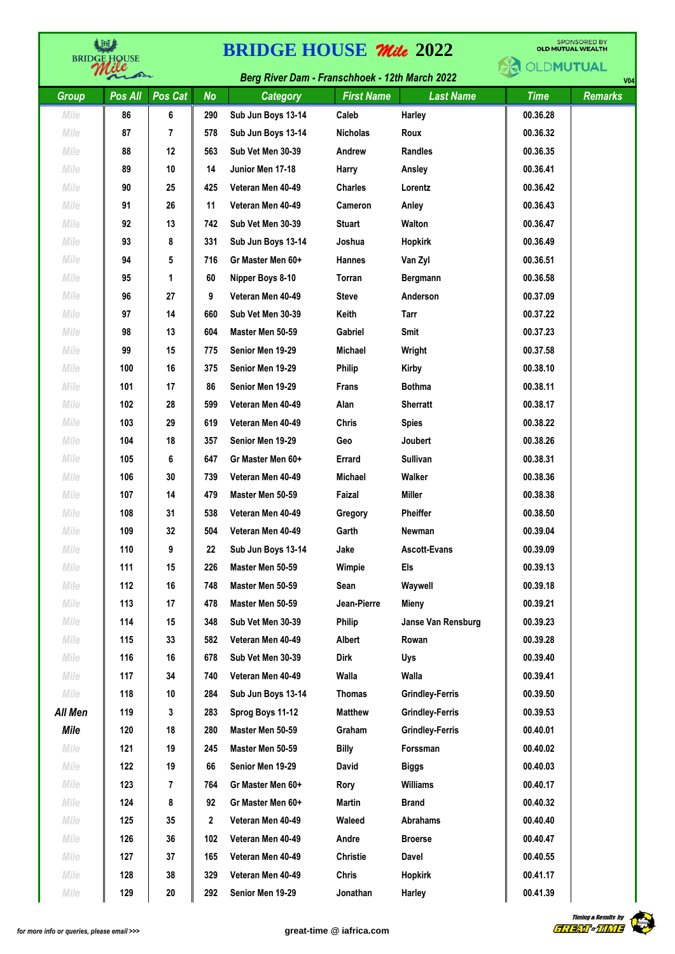| <b>BRIDGE HOUSE</b> |         |         | <b>SPONSORED BY</b><br><b>BRIDGE HOUSE Mile 2022</b><br><b>OLD MUTUAL WEALTH</b> |                                                |                   |                             |             |                |  |
|---------------------|---------|---------|----------------------------------------------------------------------------------|------------------------------------------------|-------------------|-----------------------------|-------------|----------------|--|
|                     | ☎       |         |                                                                                  | Berg River Dam - Franschhoek - 12th March 2022 |                   | OLDMUTUAL<br>V <sub>0</sub> |             |                |  |
| Group               | Pos All | Pos Cat | <b>No</b>                                                                        | Category                                       | <b>First Name</b> | <b>Last Name</b>            | <b>Time</b> | <b>Remarks</b> |  |
| Mile                | 86      | 6       | 290                                                                              | Sub Jun Boys 13-14                             | Caleb             | Harley                      | 00.36.28    |                |  |
| Mile                | 87      | 7       | 578                                                                              | Sub Jun Boys 13-14                             | <b>Nicholas</b>   | Roux                        | 00.36.32    |                |  |
| Mile                | 88      | 12      | 563                                                                              | Sub Vet Men 30-39                              | Andrew            | <b>Randles</b>              | 00.36.35    |                |  |
| Mile                | 89      | 10      | 14                                                                               | Junior Men 17-18                               | Harry             | Ansley                      | 00.36.41    |                |  |
| Mile                | 90      | 25      | 425                                                                              | Veteran Men 40-49                              | <b>Charles</b>    | Lorentz                     | 00.36.42    |                |  |
| Mile                | 91      | 26      | 11                                                                               | Veteran Men 40-49                              | <b>Cameron</b>    | Anley                       | 00.36.43    |                |  |
| Mile                | 92      | 13      | 742                                                                              | Sub Vet Men 30-39                              | <b>Stuart</b>     | Walton                      | 00.36.47    |                |  |
| Mile                | 93      | 8       | 331                                                                              | Sub Jun Boys 13-14                             | Joshua            | <b>Hopkirk</b>              | 00.36.49    |                |  |
| Mile                | 94      | 5       | 716                                                                              | Gr Master Men 60+                              | <b>Hannes</b>     | Van Zyl                     | 00.36.51    |                |  |
| Mile                | 95      | 1       | 60                                                                               | Nipper Boys 8-10                               | Torran            | Bergmann                    | 00.36.58    |                |  |
| Mile                | 96      | 27      | 9                                                                                | Veteran Men 40-49                              | <b>Steve</b>      | Anderson                    | 00.37.09    |                |  |
| Mile                | 97      | 14      | 660                                                                              | Sub Vet Men 30-39                              | Keith             | Tarr                        | 00.37.22    |                |  |
| Mile                | 98      | 13      | 604                                                                              | Master Men 50-59                               | Gabriel           | Smit                        | 00.37.23    |                |  |
| Mile                | 99      | 15      | 775                                                                              | Senior Men 19-29                               | <b>Michael</b>    | Wright                      | 00.37.58    |                |  |
| Mile                | 100     | 16      | 375                                                                              | Senior Men 19-29                               | <b>Philip</b>     | Kirby                       | 00.38.10    |                |  |
| Mile                | 101     | 17      | 86                                                                               | Senior Men 19-29                               | <b>Frans</b>      | <b>Bothma</b>               | 00.38.11    |                |  |
| Mile                | 102     | 28      | 599                                                                              | Veteran Men 40-49                              | Alan              | <b>Sherratt</b>             | 00.38.17    |                |  |
| Mile                | 103     | 29      | 619                                                                              | Veteran Men 40-49                              | Chris             | <b>Spies</b>                | 00.38.22    |                |  |
| Mile                | 104     | 18      | 357                                                                              | Senior Men 19-29                               | Geo               | Joubert                     | 00.38.26    |                |  |
| Mile                | 105     | 6       | 647                                                                              | Gr Master Men 60+                              | Errard            | Sullivan                    | 00.38.31    |                |  |
| Mile                | 106     | 30      | 739                                                                              | Veteran Men 40-49                              | <b>Michael</b>    | Walker                      | 00.38.36    |                |  |
| Mile                | 107     | 14      | 479                                                                              | Master Men 50-59                               | Faizal            | <b>Miller</b>               | 00.38.38    |                |  |
| Mile                | 108     | 31      | 538                                                                              | Veteran Men 40-49                              | Gregory           | <b>Pheiffer</b>             | 00.38.50    |                |  |
| Mile                | 109     | 32      | 504                                                                              | Veteran Men 40-49                              | Garth             | Newman                      | 00.39.04    |                |  |
| Mile                | 110     | 9       | 22                                                                               | Sub Jun Boys 13-14                             | Jake              | <b>Ascott-Evans</b>         | 00.39.09    |                |  |
| Mile                | 111     | 15      | 226                                                                              | Master Men 50-59                               | Wimpie            | Els                         | 00.39.13    |                |  |
| Mile                | 112     | 16      | 748                                                                              | Master Men 50-59                               | Sean              | Waywell                     | 00.39.18    |                |  |
| Mile                | 113     | 17      | 478                                                                              | Master Men 50-59                               | Jean-Pierre       | Mieny                       | 00.39.21    |                |  |
| Mile                | 114     | 15      | 348                                                                              | Sub Vet Men 30-39                              | Philip            | Janse Van Rensburg          | 00.39.23    |                |  |
| Mile                | 115     | 33      | 582                                                                              | Veteran Men 40-49                              | Albert            | Rowan                       | 00.39.28    |                |  |
| Mile                | 116     | 16      | 678                                                                              | Sub Vet Men 30-39                              | Dirk              | Uys                         | 00.39.40    |                |  |
| Mile                | 117     | 34      | 740                                                                              | Veteran Men 40-49                              | Walla             | Walla                       | 00.39.41    |                |  |
| Mile                | 118     | 10      | 284                                                                              | Sub Jun Boys 13-14                             | <b>Thomas</b>     | <b>Grindley-Ferris</b>      | 00.39.50    |                |  |
| All Men             | 119     | 3       | 283                                                                              | Sprog Boys 11-12                               | <b>Matthew</b>    | <b>Grindley-Ferris</b>      | 00.39.53    |                |  |
| <b>Mile</b>         | 120     | 18      | 280                                                                              | Master Men 50-59                               | Graham            | <b>Grindley-Ferris</b>      | 00.40.01    |                |  |
| Mile                | 121     | 19      | 245                                                                              | Master Men 50-59                               | <b>Billy</b>      | Forssman                    | 00.40.02    |                |  |
| Mile                | 122     | 19      | 66                                                                               | Senior Men 19-29                               | <b>David</b>      | Biggs                       | 00.40.03    |                |  |
| Mile                | 123     | 7       | 764                                                                              | Gr Master Men 60+                              | Rory              | <b>Williams</b>             | 00.40.17    |                |  |
| Mile                | 124     | 8       | 92                                                                               | Gr Master Men 60+                              | Martin            | <b>Brand</b>                | 00.40.32    |                |  |
| Mile                | 125     | 35      | 2                                                                                | Veteran Men 40-49                              | Waleed            | <b>Abrahams</b>             | 00.40.40    |                |  |
| Mile                | 126     | 36      | 102                                                                              | Veteran Men 40-49                              | Andre             | <b>Broerse</b>              | 00.40.47    |                |  |
| Mile                | 127     | 37      | 165                                                                              | Veteran Men 40-49                              | <b>Christie</b>   | Davel                       | 00.40.55    |                |  |
| Mile                | 128     | 38      | 329                                                                              | Veteran Men 40-49                              | <b>Chris</b>      | Hopkirk                     | 00.41.17    |                |  |
| Mile                | 129     | 20      | 292                                                                              | Senior Men 19-29                               | Jonathan          | Harley                      | 00.41.39    |                |  |